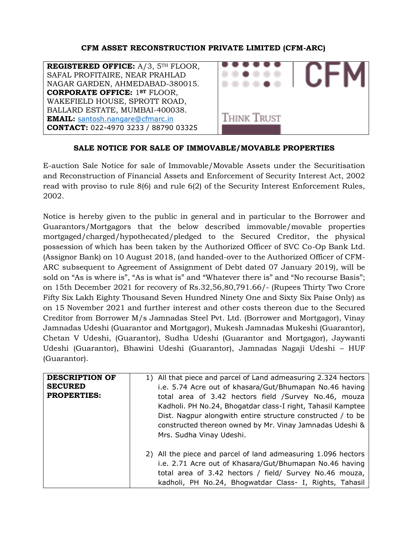### **CFM ASSET RECONSTRUCTION PRIVATE LIMITED (CFM-ARC)**



### **SALE NOTICE FOR SALE OF IMMOVABLE/MOVABLE PROPERTIES**

E-auction Sale Notice for sale of Immovable/Movable Assets under the Securitisation and Reconstruction of Financial Assets and Enforcement of Security Interest Act, 2002 read with proviso to rule 8(6) and rule 6(2) of the Security Interest Enforcement Rules, 2002.

Notice is hereby given to the public in general and in particular to the Borrower and Guarantors/Mortgagors that the below described immovable/movable properties mortgaged/charged/hypothecated/pledged to the Secured Creditor, the physical possession of which has been taken by the Authorized Officer of SVC Co-Op Bank Ltd. (Assignor Bank) on 10 August 2018, (and handed-over to the Authorized Officer of CFM-ARC subsequent to Agreement of Assignment of Debt dated 07 January 2019), will be sold on "As is where is", "As is what is" and "Whatever there is" and "No recourse Basis"; on 15th December 2021 for recovery of Rs.32,56,80,791.66/- (Rupees Thirty Two Crore Fifty Six Lakh Eighty Thousand Seven Hundred Ninety One and Sixty Six Paise Only) as on 15 November 2021 and further interest and other costs thereon due to the Secured Creditor from Borrower M/s Jamnadas Steel Pvt. Ltd. (Borrower and Mortgagor), Vinay Jamnadas Udeshi (Guarantor and Mortgagor), Mukesh Jamnadas Mukeshi (Guarantor), Chetan V Udeshi, (Guarantor), Sudha Udeshi (Guarantor and Mortgagor), Jaywanti Udeshi (Guarantor), Bhawini Udeshi (Guarantor), Jamnadas Nagaji Udeshi – HUF (Guarantor).

| <b>DESCRIPTION OF</b><br><b>SECURED</b><br><b>PROPERTIES:</b> | 1) All that piece and parcel of Land admeasuring 2.324 hectors<br>i.e. 5.74 Acre out of khasara/Gut/Bhumapan No.46 having<br>total area of 3.42 hectors field /Survey No.46, mouza<br>Kadholi. PH No.24, Bhogatdar class-I right, Tahasil Kamptee |
|---------------------------------------------------------------|---------------------------------------------------------------------------------------------------------------------------------------------------------------------------------------------------------------------------------------------------|
|                                                               | Dist. Nagpur alongwith entire structure constructed / to be<br>constructed thereon owned by Mr. Vinay Jamnadas Udeshi &<br>Mrs. Sudha Vinay Udeshi.                                                                                               |
|                                                               | 2) All the piece and parcel of land admeasuring 1.096 hectors<br>i.e. 2.71 Acre out of Khasara/Gut/Bhumapan No.46 having<br>total area of 3.42 hectors / field/ Survey No.46 mouza,<br>kadholi, PH No.24, Bhogwatdar Class- I, Rights, Tahasil    |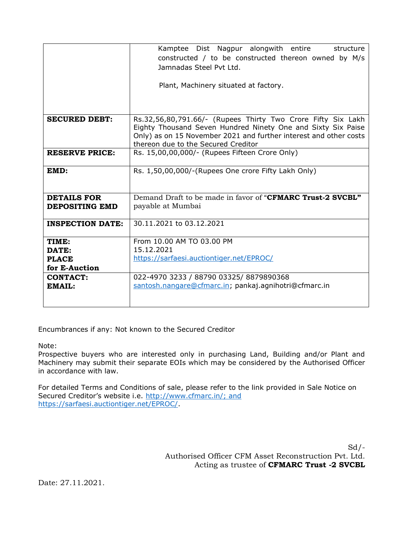|                                             | Kamptee Dist Nagpur alongwith entire<br>structure<br>constructed / to be constructed thereon owned by M/s<br>Jamnadas Steel Pvt Ltd.<br>Plant, Machinery situated at factory.                                                            |  |  |  |  |
|---------------------------------------------|------------------------------------------------------------------------------------------------------------------------------------------------------------------------------------------------------------------------------------------|--|--|--|--|
|                                             |                                                                                                                                                                                                                                          |  |  |  |  |
| <b>SECURED DEBT:</b>                        | Rs.32,56,80,791.66/- (Rupees Thirty Two Crore Fifty Six Lakh<br>Eighty Thousand Seven Hundred Ninety One and Sixty Six Paise<br>Only) as on 15 November 2021 and further interest and other costs<br>thereon due to the Secured Creditor |  |  |  |  |
| <b>RESERVE PRICE:</b>                       | Rs. 15,00,00,000/- (Rupees Fifteen Crore Only)                                                                                                                                                                                           |  |  |  |  |
| EMD:                                        | Rs. 1,50,00,000/-(Rupees One crore Fifty Lakh Only)                                                                                                                                                                                      |  |  |  |  |
| <b>DETAILS FOR</b><br><b>DEPOSITING EMD</b> | Demand Draft to be made in favor of " <b>CFMARC Trust-2 SVCBL"</b><br>payable at Mumbai                                                                                                                                                  |  |  |  |  |
| <b>INSPECTION DATE:</b>                     | 30.11.2021 to 03.12.2021                                                                                                                                                                                                                 |  |  |  |  |
| TIME:                                       | From 10.00 AM TO 03.00 PM                                                                                                                                                                                                                |  |  |  |  |
| DATE:                                       | 15.12.2021                                                                                                                                                                                                                               |  |  |  |  |
| <b>PLACE</b><br>for E-Auction               | https://sarfaesi.auctiontiger.net/EPROC/                                                                                                                                                                                                 |  |  |  |  |
| <b>CONTACT:</b>                             | 022-4970 3233 / 88790 03325/ 8879890368                                                                                                                                                                                                  |  |  |  |  |
| EMAIL:                                      | santosh.nangare@cfmarc.in; pankaj.agnihotri@cfmarc.in                                                                                                                                                                                    |  |  |  |  |

Encumbrances if any: Not known to the Secured Creditor

Note:

Prospective buyers who are interested only in purchasing Land, Building and/or Plant and Machinery may submit their separate EOIs which may be considered by the Authorised Officer in accordance with law.

For detailed Terms and Conditions of sale, please refer to the link provided in Sale Notice on Secured Creditor's website i.e. [http://www.cfmarc.in/; and](http://www.cfmarc.in/;%20and) [https://sarfaesi.auctiontiger.net/EPROC/.](https://sarfaesi.auctiontiger.net/EPROC/)

> $Sd$  /-Authorised Officer CFM Asset Reconstruction Pvt. Ltd. Acting as trustee of **CFMARC Trust -2 SVCBL**

Date: 27.11.2021.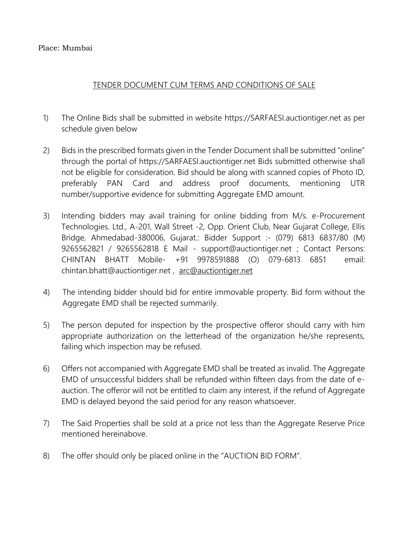### Place: Mumbai

# TENDER DOCUMENT CUM TERMS AND CONDITIONS OF SALE

- 1) The Online Bids shall be submitted in website [https://SARFAESI.auctiontiger.net](https://sarfaesi.auctiontiger.net/) as per schedule given below
- 2) Bids in the prescribed formats given in the Tender Document shall be submitted "online" through the portal of [https://SARFAESI.auctiontiger.net](https://sarfaesi.auctiontiger.net/) Bids submitted otherwise shall not be eligible for consideration. Bid should be along with scanned copies of Photo ID, preferably PAN Card and address proof documents, mentioning UTR number/supportive evidence for submitting Aggregate EMD amount.
- 3) Intending bidders may avail training for online bidding from M/s. e-Procurement Technologies. Ltd., A-201, Wall Street -2, Opp. Orient Club, Near Gujarat College, Ellis Bridge, Ahmedabad-380006, Gujarat.: Bidder Support :- (079) 6813 6837/80 (M) 9265562821 / 9265562818 E Mail - [support@auctiontiger.net](mailto:support@auctiontiger.net) ; Contact Persons: CHINTAN BHATT Mobile- +91 9978591888 (O) 079-6813 6851 email: [chintan.bhatt@auctiontiger.net](mailto:chintan.bhatt@auctiontiger.net) , arc@auctiontiger.net
- 4) The intending bidder should bid for entire immovable property. Bid form without the Aggregate EMD shall be rejected summarily.
- 5) The person deputed for inspection by the prospective offeror should carry with him appropriate authorization on the letterhead of the organization he/she represents, failing which inspection may be refused.
- 6) Offers not accompanied with Aggregate EMD shall be treated as invalid. The Aggregate EMD of unsuccessful bidders shall be refunded within fifteen days from the date of eauction. The offeror will not be entitled to claim any interest, if the refund of Aggregate EMD is delayed beyond the said period for any reason whatsoever.
- 7) The Said Properties shall be sold at a price not less than the Aggregate Reserve Price mentioned hereinabove.
- 8) The offer should only be placed online in the "AUCTION BID FORM".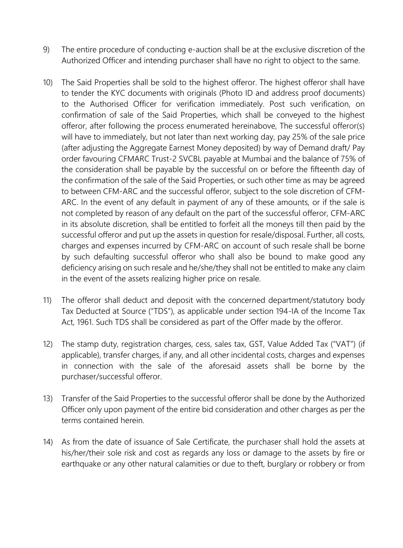- 9) The entire procedure of conducting e-auction shall be at the exclusive discretion of the Authorized Officer and intending purchaser shall have no right to object to the same.
- 10) The Said Properties shall be sold to the highest offeror. The highest offeror shall have to tender the KYC documents with originals (Photo ID and address proof documents) to the Authorised Officer for verification immediately. Post such verification, on confirmation of sale of the Said Properties, which shall be conveyed to the highest offeror, after following the process enumerated hereinabove, The successful offeror(s) will have to immediately, but not later than next working day, pay 25% of the sale price (after adjusting the Aggregate Earnest Money deposited) by way of Demand draft/ Pay order favouring CFMARC Trust-2 SVCBL payable at Mumbai and the balance of 75% of the consideration shall be payable by the successful on or before the fifteenth day of the confirmation of the sale of the Said Properties, or such other time as may be agreed to between CFM-ARC and the successful offeror, subject to the sole discretion of CFM-ARC. In the event of any default in payment of any of these amounts, or if the sale is not completed by reason of any default on the part of the successful offeror, CFM-ARC in its absolute discretion, shall be entitled to forfeit all the moneys till then paid by the successful offeror and put up the assets in question for resale/disposal. Further, all costs, charges and expenses incurred by CFM-ARC on account of such resale shall be borne by such defaulting successful offeror who shall also be bound to make good any deficiency arising on such resale and he/she/they shall not be entitled to make any claim in the event of the assets realizing higher price on resale.
- 11) The offeror shall deduct and deposit with the concerned department/statutory body Tax Deducted at Source ("TDS"), as applicable under section 194-IA of the Income Tax Act, 1961. Such TDS shall be considered as part of the Offer made by the offeror.
- 12) The stamp duty, registration charges, cess, sales tax, GST, Value Added Tax ("VAT") (if applicable), transfer charges, if any, and all other incidental costs, charges and expenses in connection with the sale of the aforesaid assets shall be borne by the purchaser/successful offeror.
- 13) Transfer of the Said Properties to the successful offeror shall be done by the Authorized Officer only upon payment of the entire bid consideration and other charges as per the terms contained herein.
- 14) As from the date of issuance of Sale Certificate, the purchaser shall hold the assets at his/her/their sole risk and cost as regards any loss or damage to the assets by fire or earthquake or any other natural calamities or due to theft, burglary or robbery or from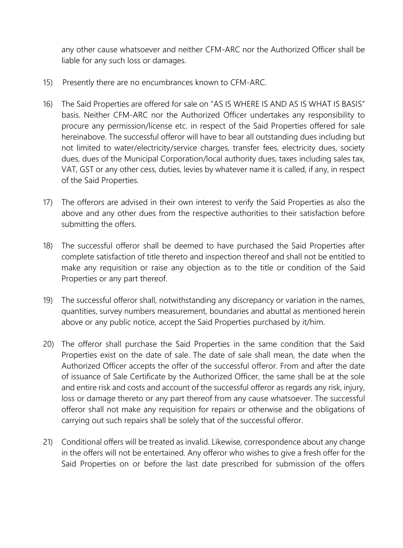any other cause whatsoever and neither CFM-ARC nor the Authorized Officer shall be liable for any such loss or damages.

- 15) Presently there are no encumbrances known to CFM-ARC.
- 16) The Said Properties are offered for sale on "AS IS WHERE IS AND AS IS WHAT IS BASIS" basis. Neither CFM-ARC nor the Authorized Officer undertakes any responsibility to procure any permission/license etc. in respect of the Said Properties offered for sale hereinabove. The successful offeror will have to bear all outstanding dues including but not limited to water/electricity/service charges, transfer fees, electricity dues, society dues, dues of the Municipal Corporation/local authority dues, taxes including sales tax, VAT, GST or any other cess, duties, levies by whatever name it is called, if any, in respect of the Said Properties.
- 17) The offerors are advised in their own interest to verify the Said Properties as also the above and any other dues from the respective authorities to their satisfaction before submitting the offers.
- 18) The successful offeror shall be deemed to have purchased the Said Properties after complete satisfaction of title thereto and inspection thereof and shall not be entitled to make any requisition or raise any objection as to the title or condition of the Said Properties or any part thereof.
- 19) The successful offeror shall, notwithstanding any discrepancy or variation in the names, quantities, survey numbers measurement, boundaries and abuttal as mentioned herein above or any public notice, accept the Said Properties purchased by it/him.
- 20) The offeror shall purchase the Said Properties in the same condition that the Said Properties exist on the date of sale. The date of sale shall mean, the date when the Authorized Officer accepts the offer of the successful offeror. From and after the date of issuance of Sale Certificate by the Authorized Officer, the same shall be at the sole and entire risk and costs and account of the successful offeror as regards any risk, injury, loss or damage thereto or any part thereof from any cause whatsoever. The successful offeror shall not make any requisition for repairs or otherwise and the obligations of carrying out such repairs shall be solely that of the successful offeror.
- 21) Conditional offers will be treated as invalid. Likewise, correspondence about any change in the offers will not be entertained. Any offeror who wishes to give a fresh offer for the Said Properties on or before the last date prescribed for submission of the offers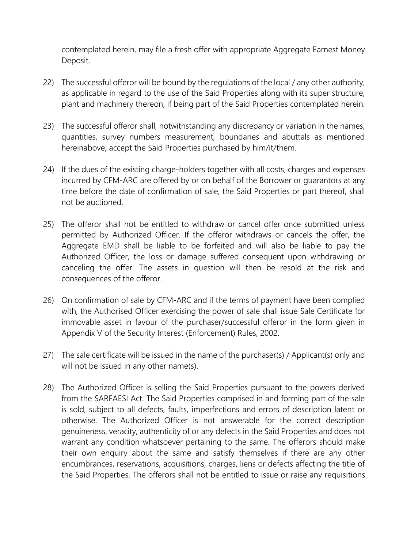contemplated herein, may file a fresh offer with appropriate Aggregate Earnest Money Deposit.

- 22) The successful offeror will be bound by the regulations of the local / any other authority, as applicable in regard to the use of the Said Properties along with its super structure, plant and machinery thereon, if being part of the Said Properties contemplated herein.
- 23) The successful offeror shall, notwithstanding any discrepancy or variation in the names, quantities, survey numbers measurement, boundaries and abuttals as mentioned hereinabove, accept the Said Properties purchased by him/it/them.
- 24) If the dues of the existing charge-holders together with all costs, charges and expenses incurred by CFM-ARC are offered by or on behalf of the Borrower or guarantors at any time before the date of confirmation of sale, the Said Properties or part thereof, shall not be auctioned.
- 25) The offeror shall not be entitled to withdraw or cancel offer once submitted unless permitted by Authorized Officer. If the offeror withdraws or cancels the offer, the Aggregate EMD shall be liable to be forfeited and will also be liable to pay the Authorized Officer, the loss or damage suffered consequent upon withdrawing or canceling the offer. The assets in question will then be resold at the risk and consequences of the offeror.
- 26) On confirmation of sale by CFM-ARC and if the terms of payment have been complied with, the Authorised Officer exercising the power of sale shall issue Sale Certificate for immovable asset in favour of the purchaser/successful offeror in the form given in Appendix V of the Security Interest (Enforcement) Rules, 2002.
- 27) The sale certificate will be issued in the name of the purchaser(s) / Applicant(s) only and will not be issued in any other name(s).
- 28) The Authorized Officer is selling the Said Properties pursuant to the powers derived from the SARFAESI Act. The Said Properties comprised in and forming part of the sale is sold, subject to all defects, faults, imperfections and errors of description latent or otherwise. The Authorized Officer is not answerable for the correct description genuineness, veracity, authenticity of or any defects in the Said Properties and does not warrant any condition whatsoever pertaining to the same. The offerors should make their own enquiry about the same and satisfy themselves if there are any other encumbrances, reservations, acquisitions, charges, liens or defects affecting the title of the Said Properties. The offerors shall not be entitled to issue or raise any requisitions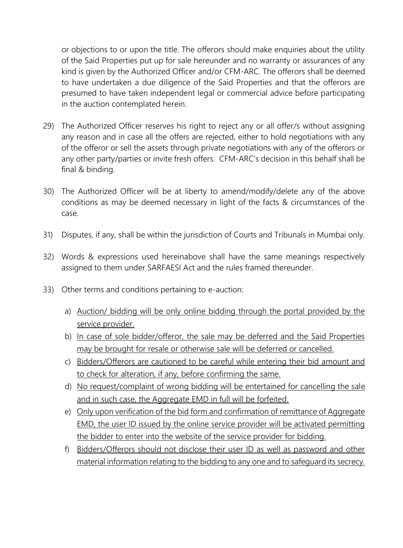or objections to or upon the title. The offerors should make enquiries about the utility of the Said Properties put up for sale hereunder and no warranty or assurances of any kind is given by the Authorized Officer and/or CFM-ARC. The offerors shall be deemed to have undertaken a due diligence of the Said Properties and that the offerors are presumed to have taken independent legal or commercial advice before participating in the auction contemplated herein.

- 29) The Authorized Officer reserves his right to reject any or all offer/s without assigning any reason and in case all the offers are rejected, either to hold negotiations with any of the offeror or sell the assets through private negotiations with any of the offerors or any other party/parties or invite fresh offers. CFM-ARC's decision in this behalf shall be final & binding.
- 30) The Authorized Officer will be at liberty to amend/modify/delete any of the above conditions as may be deemed necessary in light of the facts & circumstances of the case.
- 31) Disputes, if any, shall be within the jurisdiction of Courts and Tribunals in Mumbai only.
- 32) Words & expressions used hereinabove shall have the same meanings respectively assigned to them under SARFAESI Act and the rules framed thereunder.
- 33) Other terms and conditions pertaining to e-auction:
	- a) Auction/ bidding will be only online bidding through the portal provided by the service provider.
	- b) In case of sole bidder/offeror, the sale may be deferred and the Said Properties may be brought for resale or otherwise sale will be deferred or cancelled.
	- c) Bidders/Offerors are cautioned to be careful while entering their bid amount and to check for alteration, if any, before confirming the same.
	- d) No request/complaint of wrong bidding will be entertained for cancelling the sale and in such case, the Aggregate EMD in full will be forfeited.
	- e) Only upon verification of the bid form and confirmation of remittance of Aggregate EMD, the user ID issued by the online service provider will be activated permitting the bidder to enter into the website of the service provider for bidding.
	- f) Bidders/Offerors should not disclose their user ID as well as password and other material information relating to the bidding to any one and to safeguard its secrecy.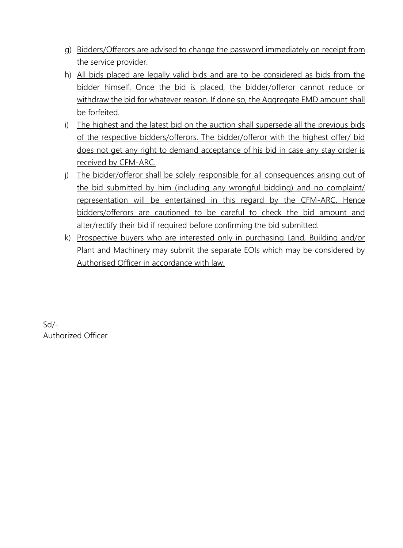- g) Bidders/Offerors are advised to change the password immediately on receipt from the service provider.
- h) All bids placed are legally valid bids and are to be considered as bids from the bidder himself. Once the bid is placed, the bidder/offeror cannot reduce or withdraw the bid for whatever reason. If done so, the Aggregate EMD amount shall be forfeited.
- i) The highest and the latest bid on the auction shall supersede all the previous bids of the respective bidders/offerors. The bidder/offeror with the highest offer/ bid does not get any right to demand acceptance of his bid in case any stay order is received by CFM-ARC.
- j) The bidder/offeror shall be solely responsible for all consequences arising out of the bid submitted by him (including any wrongful bidding) and no complaint/ representation will be entertained in this regard by the CFM-ARC. Hence bidders/offerors are cautioned to be careful to check the bid amount and alter/rectify their bid if required before confirming the bid submitted.
- k) Prospective buyers who are interested only in purchasing Land, Building and/or Plant and Machinery may submit the separate EOIs which may be considered by Authorised Officer in accordance with law.

Sd/- Authorized Officer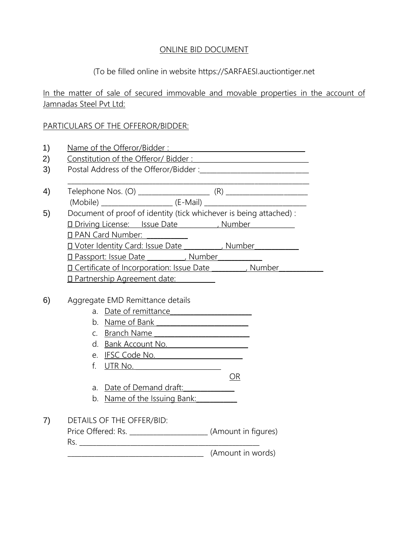### ONLINE BID DOCUMENT

# (To be filled online in website [https://SARFAESI.auctiontiger.net](https://sarfaesi.auctiontiger.net/)

In the matter of sale of secured immovable and movable properties in the account of Jamnadas Steel Pvt Ltd:

### PARTICULARS OF THE OFFEROR/BIDDER:

|         | Name of the Offeror/Bidder:                                                                                                                                                                                                        |    |
|---------|------------------------------------------------------------------------------------------------------------------------------------------------------------------------------------------------------------------------------------|----|
|         |                                                                                                                                                                                                                                    |    |
|         |                                                                                                                                                                                                                                    |    |
|         |                                                                                                                                                                                                                                    |    |
|         |                                                                                                                                                                                                                                    |    |
|         |                                                                                                                                                                                                                                    |    |
|         | Document of proof of identity (tick whichever is being attached):                                                                                                                                                                  |    |
|         | D Driving License: Issue Date (Number 1994)                                                                                                                                                                                        |    |
|         | □ PAN Card Number:                                                                                                                                                                                                                 |    |
|         | <b>I Voter Identity Card: Issue Date</b> (1994), Number                                                                                                                                                                            |    |
|         | D Passport: Issue Date __________, Number __________                                                                                                                                                                               |    |
|         | <b>ID</b> Certificate of Incorporation: Issue Date [15] Number                                                                                                                                                                     |    |
|         | <b>I Partnership Agreement date:</b>                                                                                                                                                                                               |    |
|         |                                                                                                                                                                                                                                    |    |
|         | Aggregate EMD Remittance details                                                                                                                                                                                                   |    |
|         | a. Date of remittance                                                                                                                                                                                                              |    |
|         | b. Name of Bank Name (1999)                                                                                                                                                                                                        |    |
| $C_{1}$ | Branch Name <b>Branch Name</b>                                                                                                                                                                                                     |    |
| d.      | Bank Account No.                                                                                                                                                                                                                   |    |
| e.      | <u>IFSC Code No.</u> And International Analysis of the USA of the USA of the USA of the USA of the USA of the USA of the USA of the USA of the USA of the USA of the USA of the USA of the USA of the USA of the USA of the USA of |    |
| f.      | UTR No.                                                                                                                                                                                                                            |    |
|         |                                                                                                                                                                                                                                    |    |
|         |                                                                                                                                                                                                                                    | ΟR |
| а.      | Date of Demand draft:                                                                                                                                                                                                              |    |

7) DETAILS OF THE OFFER/BID:

Price Offered: Rs. \_\_\_\_\_\_\_\_\_\_\_\_\_\_\_\_\_\_\_\_\_\_\_\_(Amount in figures) Rs. \_\_\_\_\_\_\_\_\_\_\_\_\_\_\_\_\_\_\_\_\_\_\_\_\_\_\_\_\_\_\_\_\_\_\_\_\_\_\_\_\_\_\_\_\_\_\_\_\_\_\_\_\_ \_\_\_\_\_\_\_\_\_\_\_\_\_\_\_\_\_\_\_\_\_\_\_\_\_\_\_\_\_\_\_\_\_\_\_\_\_\_\_\_ (Amount in words)

b. Name of the Issuing Bank: